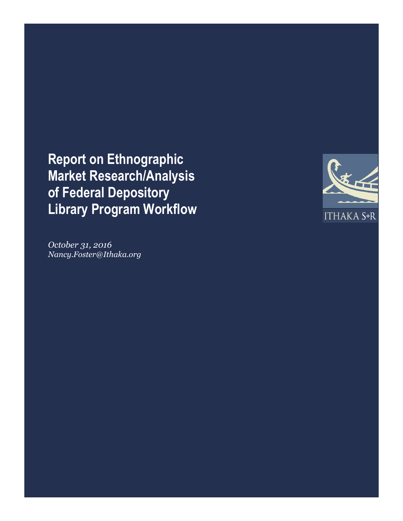**Report on Ethnographic Market Research/Analysis of Federal Depository Library Program Workflow**



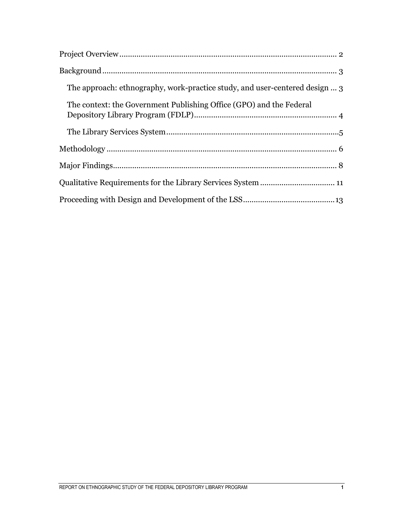| The approach: ethnography, work-practice study, and user-centered design  3 |
|-----------------------------------------------------------------------------|
| The context: the Government Publishing Office (GPO) and the Federal         |
|                                                                             |
|                                                                             |
|                                                                             |
|                                                                             |
|                                                                             |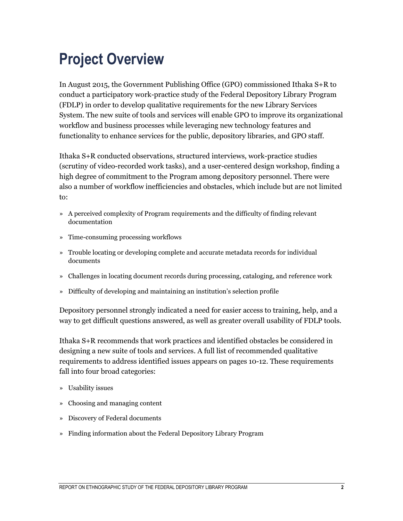### **Project Overview**

In August 2015, the Government Publishing Office (GPO) commissioned Ithaka S+R to conduct a participatory work-practice study of the Federal Depository Library Program (FDLP) in order to develop qualitative requirements for the new Library Services System. The new suite of tools and services will enable GPO to improve its organizational workflow and business processes while leveraging new technology features and functionality to enhance services for the public, depository libraries, and GPO staff.

Ithaka S+R conducted observations, structured interviews, work-practice studies (scrutiny of video-recorded work tasks), and a user-centered design workshop, finding a high degree of commitment to the Program among depository personnel. There were also a number of workflow inefficiencies and obstacles, which include but are not limited to:

- » A perceived complexity of Program requirements and the difficulty of finding relevant documentation
- » Time-consuming processing workflows
- » Trouble locating or developing complete and accurate metadata records for individual documents
- » Challenges in locating document records during processing, cataloging, and reference work
- » Difficulty of developing and maintaining an institution's selection profile

Depository personnel strongly indicated a need for easier access to training, help, and a way to get difficult questions answered, as well as greater overall usability of FDLP tools.

Ithaka S+R recommends that work practices and identified obstacles be considered in designing a new suite of tools and services. A full list of recommended qualitative requirements to address identified issues appears on pages 10-12. These requirements fall into four broad categories:

- » Usability issues
- » Choosing and managing content
- » Discovery of Federal documents
- » Finding information about the Federal Depository Library Program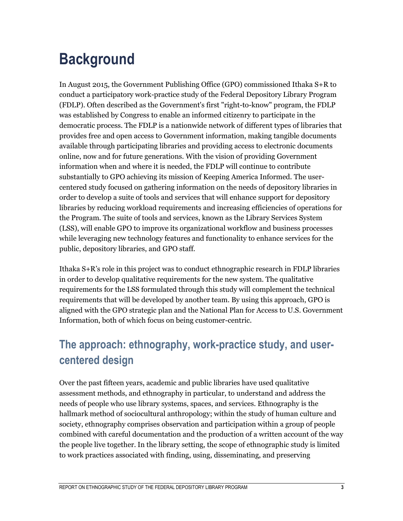## **Background**

In August 2015, the Government Publishing Office (GPO) commissioned Ithaka S+R to conduct a participatory work-practice study of the Federal Depository Library Program (FDLP). Often described as the Government's first "right-to-know" program, the FDLP was established by Congress to enable an informed citizenry to participate in the democratic process. The FDLP is a nationwide network of different types of libraries that provides free and open access to Government information, making tangible documents available through participating libraries and providing access to electronic documents online, now and for future generations. With the vision of providing Government information when and where it is needed, the FDLP will continue to contribute substantially to GPO achieving its mission of Keeping America Informed. The usercentered study focused on gathering information on the needs of depository libraries in order to develop a suite of tools and services that will enhance support for depository libraries by reducing workload requirements and increasing efficiencies of operations for the Program. The suite of tools and services, known as the Library Services System (LSS), will enable GPO to improve its organizational workflow and business processes while leveraging new technology features and functionality to enhance services for the public, depository libraries, and GPO staff.

Ithaka S+R's role in this project was to conduct ethnographic research in FDLP libraries in order to develop qualitative requirements for the new system. The qualitative requirements for the LSS formulated through this study will complement the technical requirements that will be developed by another team. By using this approach, GPO is aligned with the GPO strategic plan and the National Plan for Access to U.S. Government Information, both of which focus on being customer-centric.

#### **The approach: ethnography, work-practice study, and usercentered design**

Over the past fifteen years, academic and public libraries have used qualitative assessment methods, and ethnography in particular, to understand and address the needs of people who use library systems, spaces, and services. Ethnography is the hallmark method of sociocultural anthropology; within the study of human culture and society, ethnography comprises observation and participation within a group of people combined with careful documentation and the production of a written account of the way the people live together. In the library setting, the scope of ethnographic study is limited to work practices associated with finding, using, disseminating, and preserving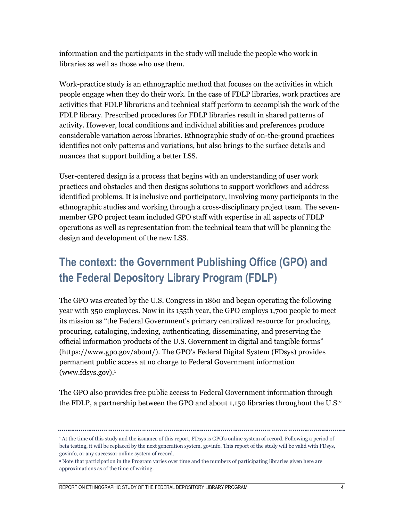information and the participants in the study will include the people who work in libraries as well as those who use them.

Work-practice study is an ethnographic method that focuses on the activities in which people engage when they do their work. In the case of FDLP libraries, work practices are activities that FDLP librarians and technical staff perform to accomplish the work of the FDLP library. Prescribed procedures for FDLP libraries result in shared patterns of activity. However, local conditions and individual abilities and preferences produce considerable variation across libraries. Ethnographic study of on-the-ground practices identifies not only patterns and variations, but also brings to the surface details and nuances that support building a better LSS.

User-centered design is a process that begins with an understanding of user work practices and obstacles and then designs solutions to support workflows and address identified problems. It is inclusive and participatory, involving many participants in the ethnographic studies and working through a cross-disciplinary project team. The sevenmember GPO project team included GPO staff with expertise in all aspects of FDLP operations as well as representation from the technical team that will be planning the design and development of the new LSS.

#### **The context: the Government Publishing Office (GPO) and the Federal Depository Library Program (FDLP)**

The GPO was created by the U.S. Congress in 1860 and began operating the following year with 350 employees. Now in its 155th year, the GPO employs 1,700 people to meet its mission as "the Federal Government's primary centralized resource for producing, procuring, cataloging, indexing, authenticating, disseminating, and preserving the official information products of the U.S. Government in digital and tangible forms" [\(https://www.gpo.gov/about/\)](https://www.gpo.gov/about/). The GPO's Federal Digital System (FDsys) provides permanent public access at no charge to Federal Government information (www.fdsys.gov).<sup>1</sup>

The GPO also provides free public access to Federal Government information through the FDLP, a partnership between the GPO and about 1,150 libraries throughout the U.S.<sup>2</sup>

<sup>1</sup> At the time of this study and the issuance of this report, FDsys is GPO's online system of record. Following a period of beta testing, it will be replaced by the next generation system, govinfo. This report of the study will be valid with FDsys, govinfo, or any successor online system of record.

<sup>2</sup> Note that participation in the Program varies over time and the numbers of participating libraries given here are approximations as of the time of writing.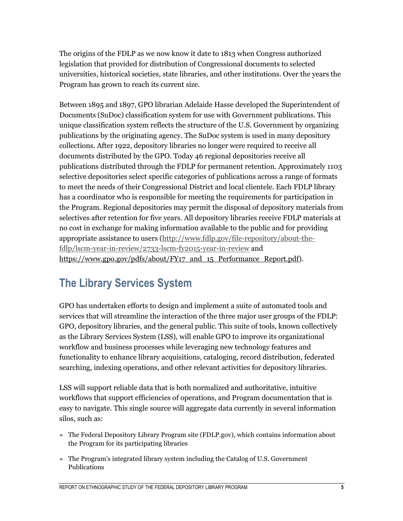The origins of the FDLP as we now know it date to 1813 when Congress authorized legislation that provided for distribution of Congressional documents to selected universities, historical societies, state libraries, and other institutions. Over the years the Program has grown to reach its current size.

Between 1895 and 1897, GPO librarian Adelaide Hasse developed the Superintendent of Documents (SuDoc) classification system for use with Government publications. This unique classification system reflects the structure of the U.S. Government by organizing publications by the originating agency. The SuDoc system is used in many depository collections. After 1922, depository libraries no longer were required to receive all documents distributed by the GPO. Today 46 regional depositories receive all publications distributed through the FDLP for permanent retention. Approximately 1103 selective depositories select specific categories of publications across a range of formats to meet the needs of their Congressional District and local clientele. Each FDLP library has a coordinator who is responsible for meeting the requirements for participation in the Program. Regional depositories may permit the disposal of depository materials from selectives after retention for five years. All depository libraries receive FDLP materials at no cost in exchange for making information available to the public and for providing appropriate assistance to users [\(http://www.fdlp.gov/file-repository/about-the](http://www.fdlp.gov/file-repository/about-the-fdlp/lscm-year-in-review/2733-lscm-fy2015-year-in-review)[fdlp/lscm-year-in-review/2733-lscm-fy2015-year-in-review](http://www.fdlp.gov/file-repository/about-the-fdlp/lscm-year-in-review/2733-lscm-fy2015-year-in-review) and [https://www.gpo.gov/pdfs/about/FY17\\_and\\_15\\_Performance\\_Report.pdf\)](https://www.gpo.gov/pdfs/about/FY17_and_15_Performance_Report.pdf).

#### **The Library Services System**

GPO has undertaken efforts to design and implement a suite of automated tools and services that will streamline the interaction of the three major user groups of the FDLP: GPO, depository libraries, and the general public. This suite of tools, known collectively as the Library Services System (LSS), will enable GPO to improve its organizational workflow and business processes while leveraging new technology features and functionality to enhance library acquisitions, cataloging, record distribution, federated searching, indexing operations, and other relevant activities for depository libraries.

LSS will support reliable data that is both normalized and authoritative, intuitive workflows that support efficiencies of operations, and Program documentation that is easy to navigate. This single source will aggregate data currently in several information silos, such as:

- » The Federal Depository Library Program site (FDLP.gov), which contains information about the Program for its participating libraries
- » The Program's integrated library system including the Catalog of U.S. Government Publications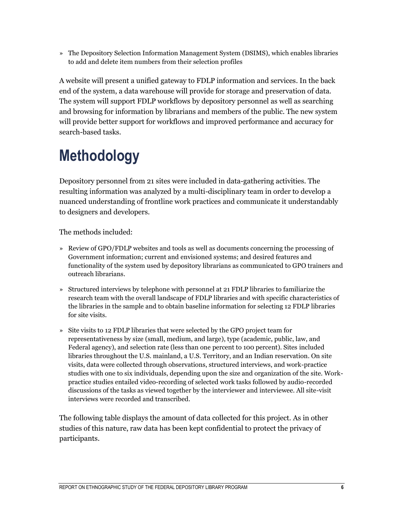» The Depository Selection Information Management System (DSIMS), which enables libraries to add and delete item numbers from their selection profiles

A website will present a unified gateway to FDLP information and services. In the back end of the system, a data warehouse will provide for storage and preservation of data. The system will support FDLP workflows by depository personnel as well as searching and browsing for information by librarians and members of the public. The new system will provide better support for workflows and improved performance and accuracy for search-based tasks.

## **Methodology**

Depository personnel from 21 sites were included in data-gathering activities. The resulting information was analyzed by a multi-disciplinary team in order to develop a nuanced understanding of frontline work practices and communicate it understandably to designers and developers.

The methods included:

- » Review of GPO/FDLP websites and tools as well as documents concerning the processing of Government information; current and envisioned systems; and desired features and functionality of the system used by depository librarians as communicated to GPO trainers and outreach librarians.
- » Structured interviews by telephone with personnel at 21 FDLP libraries to familiarize the research team with the overall landscape of FDLP libraries and with specific characteristics of the libraries in the sample and to obtain baseline information for selecting 12 FDLP libraries for site visits.
- » Site visits to 12 FDLP libraries that were selected by the GPO project team for representativeness by size (small, medium, and large), type (academic, public, law, and Federal agency), and selection rate (less than one percent to 100 percent). Sites included libraries throughout the U.S. mainland, a U.S. Territory, and an Indian reservation. On site visits, data were collected through observations, structured interviews, and work-practice studies with one to six individuals, depending upon the size and organization of the site. Workpractice studies entailed video-recording of selected work tasks followed by audio-recorded discussions of the tasks as viewed together by the interviewer and interviewee. All site-visit interviews were recorded and transcribed.

The following table displays the amount of data collected for this project. As in other studies of this nature, raw data has been kept confidential to protect the privacy of participants.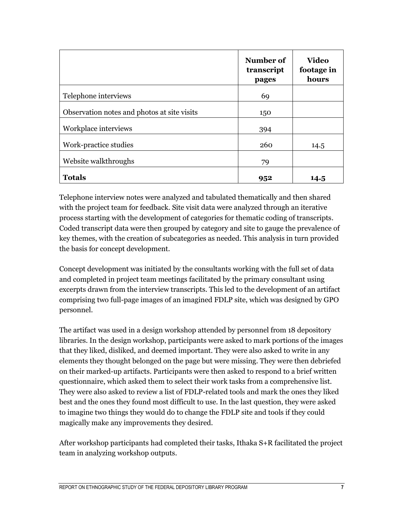|                                             | Number of<br>transcript<br>pages | <b>Video</b><br>footage in<br>hours |
|---------------------------------------------|----------------------------------|-------------------------------------|
| Telephone interviews                        | 69                               |                                     |
| Observation notes and photos at site visits | 150                              |                                     |
| Workplace interviews                        | 394                              |                                     |
| Work-practice studies                       | 260                              | 14.5                                |
| Website walkthroughs                        | 79                               |                                     |
| <b>Totals</b>                               | 952                              | 14.5                                |

Telephone interview notes were analyzed and tabulated thematically and then shared with the project team for feedback. Site visit data were analyzed through an iterative process starting with the development of categories for thematic coding of transcripts. Coded transcript data were then grouped by category and site to gauge the prevalence of key themes, with the creation of subcategories as needed. This analysis in turn provided the basis for concept development.

Concept development was initiated by the consultants working with the full set of data and completed in project team meetings facilitated by the primary consultant using excerpts drawn from the interview transcripts. This led to the development of an artifact comprising two full-page images of an imagined FDLP site, which was designed by GPO personnel.

The artifact was used in a design workshop attended by personnel from 18 depository libraries. In the design workshop, participants were asked to mark portions of the images that they liked, disliked, and deemed important. They were also asked to write in any elements they thought belonged on the page but were missing. They were then debriefed on their marked-up artifacts. Participants were then asked to respond to a brief written questionnaire, which asked them to select their work tasks from a comprehensive list. They were also asked to review a list of FDLP-related tools and mark the ones they liked best and the ones they found most difficult to use. In the last question, they were asked to imagine two things they would do to change the FDLP site and tools if they could magically make any improvements they desired.

After workshop participants had completed their tasks, Ithaka S+R facilitated the project team in analyzing workshop outputs.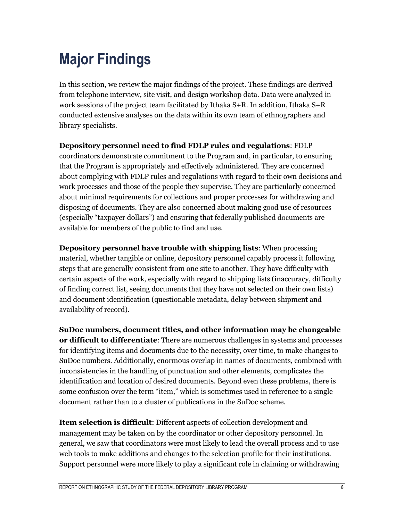# **Major Findings**

In this section, we review the major findings of the project. These findings are derived from telephone interview, site visit, and design workshop data. Data were analyzed in work sessions of the project team facilitated by Ithaka S+R. In addition, Ithaka S+R conducted extensive analyses on the data within its own team of ethnographers and library specialists.

#### **Depository personnel need to find FDLP rules and regulations**: FDLP

coordinators demonstrate commitment to the Program and, in particular, to ensuring that the Program is appropriately and effectively administered. They are concerned about complying with FDLP rules and regulations with regard to their own decisions and work processes and those of the people they supervise. They are particularly concerned about minimal requirements for collections and proper processes for withdrawing and disposing of documents. They are also concerned about making good use of resources (especially "taxpayer dollars") and ensuring that federally published documents are available for members of the public to find and use.

**Depository personnel have trouble with shipping lists**: When processing material, whether tangible or online, depository personnel capably process it following steps that are generally consistent from one site to another. They have difficulty with certain aspects of the work, especially with regard to shipping lists (inaccuracy, difficulty of finding correct list, seeing documents that they have not selected on their own lists) and document identification (questionable metadata, delay between shipment and availability of record).

**SuDoc numbers, document titles, and other information may be changeable or difficult to differentiate**: There are numerous challenges in systems and processes for identifying items and documents due to the necessity, over time, to make changes to SuDoc numbers. Additionally, enormous overlap in names of documents, combined with inconsistencies in the handling of punctuation and other elements, complicates the identification and location of desired documents. Beyond even these problems, there is some confusion over the term "item," which is sometimes used in reference to a single document rather than to a cluster of publications in the SuDoc scheme.

**Item selection is difficult**: Different aspects of collection development and management may be taken on by the coordinator or other depository personnel. In general, we saw that coordinators were most likely to lead the overall process and to use web tools to make additions and changes to the selection profile for their institutions. Support personnel were more likely to play a significant role in claiming or withdrawing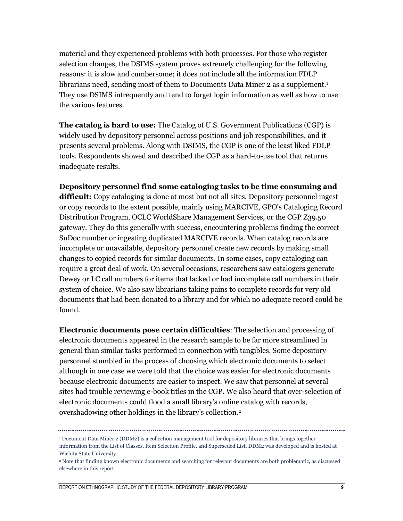material and they experienced problems with both processes. For those who register selection changes, the DSIMS system proves extremely challenging for the following reasons: it is slow and cumbersome; it does not include all the information FDLP librarians need, sending most of them to Documents Data Miner 2 as a supplement.<sup>1</sup> They use DSIMS infrequently and tend to forget login information as well as how to use the various features.

**The catalog is hard to use:** The Catalog of U.S. Government Publications (CGP) is widely used by depository personnel across positions and job responsibilities, and it presents several problems. Along with DSIMS, the CGP is one of the least liked FDLP tools. Respondents showed and described the CGP as a hard-to-use tool that returns inadequate results.

**Depository personnel find some cataloging tasks to be time consuming and difficult:** Copy cataloging is done at most but not all sites. Depository personnel ingest or copy records to the extent possible, mainly using MARCIVE, GPO's Cataloging Record Distribution Program, OCLC WorldShare Management Services, or the CGP Z39.50 gateway. They do this generally with success, encountering problems finding the correct SuDoc number or ingesting duplicated MARCIVE records. When catalog records are incomplete or unavailable, depository personnel create new records by making small changes to copied records for similar documents. In some cases, copy cataloging can require a great deal of work. On several occasions, researchers saw catalogers generate Dewey or LC call numbers for items that lacked or had incomplete call numbers in their system of choice. We also saw librarians taking pains to complete records for very old documents that had been donated to a library and for which no adequate record could be found.

**Electronic documents pose certain difficulties**: The selection and processing of electronic documents appeared in the research sample to be far more streamlined in general than similar tasks performed in connection with tangibles. Some depository personnel stumbled in the process of choosing which electronic documents to select although in one case we were told that the choice was easier for electronic documents because electronic documents are easier to inspect. We saw that personnel at several sites had trouble reviewing e-book titles in the CGP. We also heard that over-selection of electronic documents could flood a small library's online catalog with records, overshadowing other holdings in the library's collection.<sup>2</sup>

<sup>1</sup> Document Data Miner 2 (DDM2) is a collection management tool for depository libraries that brings together information from the List of Classes, Item Selection Profile, and Superseded List. DDM2 was developed and is hosted at Wichita State University.

<sup>2</sup> Note that finding known electronic documents and searching for relevant documents are both problematic, as discussed elsewhere in this report.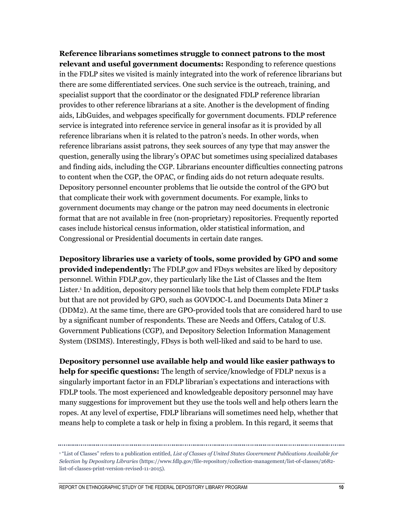**Reference librarians sometimes struggle to connect patrons to the most relevant and useful government documents:** Responding to reference questions in the FDLP sites we visited is mainly integrated into the work of reference librarians but there are some differentiated services. One such service is the outreach, training, and specialist support that the coordinator or the designated FDLP reference librarian provides to other reference librarians at a site. Another is the development of finding aids, LibGuides, and webpages specifically for government documents. FDLP reference service is integrated into reference service in general insofar as it is provided by all reference librarians when it is related to the patron's needs. In other words, when reference librarians assist patrons, they seek sources of any type that may answer the question, generally using the library's OPAC but sometimes using specialized databases and finding aids, including the CGP. Librarians encounter difficulties connecting patrons to content when the CGP, the OPAC, or finding aids do not return adequate results. Depository personnel encounter problems that lie outside the control of the GPO but that complicate their work with government documents. For example, links to government documents may change or the patron may need documents in electronic format that are not available in free (non-proprietary) repositories. Frequently reported cases include historical census information, older statistical information, and Congressional or Presidential documents in certain date ranges.

**Depository libraries use a variety of tools, some provided by GPO and some provided independently:** The FDLP.gov and FDsys websites are liked by depository personnel. Within FDLP.gov, they particularly like the List of Classes and the Item Lister.<sup>1</sup> In addition, depository personnel like tools that help them complete FDLP tasks but that are not provided by GPO, such as GOVDOC-L and Documents Data Miner 2 (DDM2). At the same time, there are GPO-provided tools that are considered hard to use by a significant number of respondents. These are Needs and Offers, Catalog of U.S. Government Publications (CGP), and Depository Selection Information Management System (DSIMS). Interestingly, FDsys is both well-liked and said to be hard to use.

**Depository personnel use available help and would like easier pathways to help for specific questions:** The length of service/knowledge of FDLP nexus is a singularly important factor in an FDLP librarian's expectations and interactions with FDLP tools. The most experienced and knowledgeable depository personnel may have many suggestions for improvement but they use the tools well and help others learn the ropes. At any level of expertise, FDLP librarians will sometimes need help, whether that means help to complete a task or help in fixing a problem. In this regard, it seems that

<sup>1</sup> "List of Classes" refers to a publication entitled, *List of Classes of United States Government Publications Available for* 

*Selection by Depository Libraries* (https://www.fdlp.gov/file-repository/collection-management/list-of-classes/2682 list-of-classes-print-version-revised-11-2015).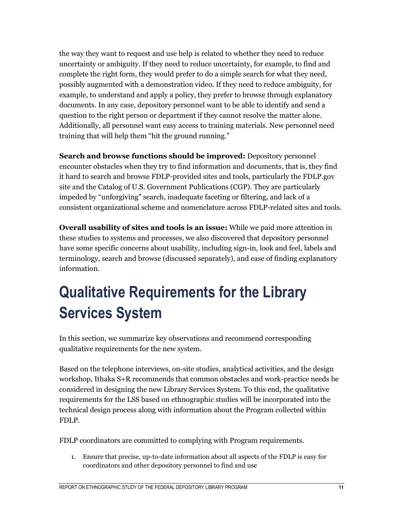the way they want to request and use help is related to whether they need to reduce uncertainty or ambiguity. If they need to reduce uncertainty, for example, to find and complete the right form, they would prefer to do a simple search for what they need, possibly augmented with a demonstration video. If they need to reduce ambiguity, for example, to understand and apply a policy, they prefer to browse through explanatory documents. In any case, depository personnel want to be able to identify and send a question to the right person or department if they cannot resolve the matter alone. Additionally, all personnel want easy access to training materials. New personnel need training that will help them "hit the ground running."

**Search and browse functions should be improved:** Depository personnel encounter obstacles when they try to find information and documents, that is, they find it hard to search and browse FDLP-provided sites and tools, particularly the FDLP.gov site and the Catalog of U.S. Government Publications (CGP). They are particularly impeded by "unforgiving" search, inadequate faceting or filtering, and lack of a consistent organizational scheme and nomenclature across FDLP-related sites and tools.

**Overall usability of sites and tools is an issue:** While we paid more attention in these studies to systems and processes, we also discovered that depository personnel have some specific concerns about usability, including sign-in, look and feel, labels and terminology, search and browse (discussed separately), and ease of finding explanatory information.

## **Qualitative Requirements for the Library Services System**

In this section, we summarize key observations and recommend corresponding qualitative requirements for the new system.

Based on the telephone interviews, on-site studies, analytical activities, and the design workshop, Ithaka S+R recommends that common obstacles and work-practice needs be considered in designing the new Library Services System. To this end, the qualitative requirements for the LSS based on ethnographic studies will be incorporated into the technical design process along with information about the Program collected within FDLP.

FDLP coordinators are committed to complying with Program requirements.

1. Ensure that precise, up-to-date information about all aspects of the FDLP is easy for coordinators and other depository personnel to find and use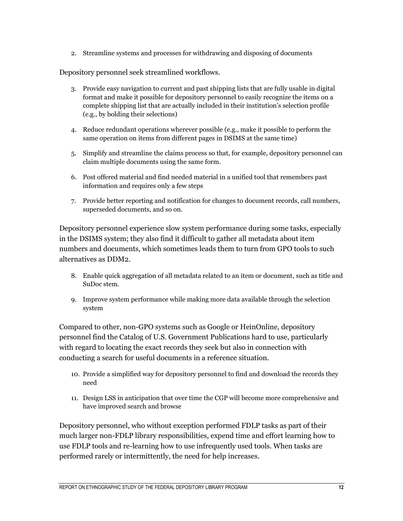2. Streamline systems and processes for withdrawing and disposing of documents

Depository personnel seek streamlined workflows.

- 3. Provide easy navigation to current and past shipping lists that are fully usable in digital format and make it possible for depository personnel to easily recognize the items on a complete shipping list that are actually included in their institution's selection profile (e.g., by bolding their selections)
- 4. Reduce redundant operations wherever possible (e.g., make it possible to perform the same operation on items from different pages in DSIMS at the same time)
- 5. Simplify and streamline the claims process so that, for example, depository personnel can claim multiple documents using the same form.
- 6. Post offered material and find needed material in a unified tool that remembers past information and requires only a few steps
- 7. Provide better reporting and notification for changes to document records, call numbers, superseded documents, and so on.

Depository personnel experience slow system performance during some tasks, especially in the DSIMS system; they also find it difficult to gather all metadata about item numbers and documents, which sometimes leads them to turn from GPO tools to such alternatives as DDM2.

- 8. Enable quick aggregation of all metadata related to an item or document, such as title and SuDoc stem.
- 9. Improve system performance while making more data available through the selection system

Compared to other, non-GPO systems such as Google or HeinOnline, depository personnel find the Catalog of U.S. Government Publications hard to use, particularly with regard to locating the exact records they seek but also in connection with conducting a search for useful documents in a reference situation.

- 10. Provide a simplified way for depository personnel to find and download the records they need
- 11. Design LSS in anticipation that over time the CGP will become more comprehensive and have improved search and browse

Depository personnel, who without exception performed FDLP tasks as part of their much larger non-FDLP library responsibilities, expend time and effort learning how to use FDLP tools and re-learning how to use infrequently used tools. When tasks are performed rarely or intermittently, the need for help increases.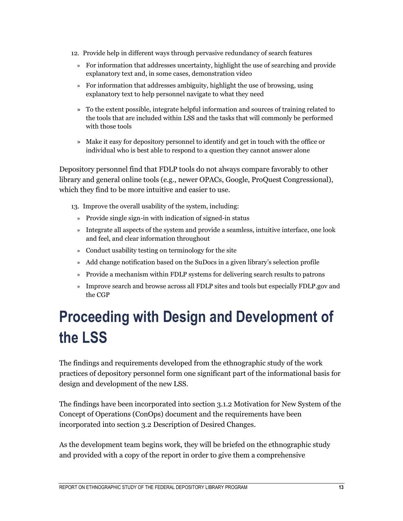- 12. Provide help in different ways through pervasive redundancy of search features
	- » For information that addresses uncertainty, highlight the use of searching and provide explanatory text and, in some cases, demonstration video
	- » For information that addresses ambiguity, highlight the use of browsing, using explanatory text to help personnel navigate to what they need
	- » To the extent possible, integrate helpful information and sources of training related to the tools that are included within LSS and the tasks that will commonly be performed with those tools
	- » Make it easy for depository personnel to identify and get in touch with the office or individual who is best able to respond to a question they cannot answer alone

Depository personnel find that FDLP tools do not always compare favorably to other library and general online tools (e.g., newer OPACs, Google, ProQuest Congressional), which they find to be more intuitive and easier to use.

- 13. Improve the overall usability of the system, including:
	- » Provide single sign-in with indication of signed-in status
	- » Integrate all aspects of the system and provide a seamless, intuitive interface, one look and feel, and clear information throughout
	- » Conduct usability testing on terminology for the site
	- » Add change notification based on the SuDocs in a given library's selection profile
	- » Provide a mechanism within FDLP systems for delivering search results to patrons
	- » Improve search and browse across all FDLP sites and tools but especially FDLP.gov and the CGP

# **Proceeding with Design and Development of the LSS**

The findings and requirements developed from the ethnographic study of the work practices of depository personnel form one significant part of the informational basis for design and development of the new LSS.

The findings have been incorporated into section 3.1.2 Motivation for New System of the Concept of Operations (ConOps) document and the requirements have been incorporated into section 3.2 Description of Desired Changes.

As the development team begins work, they will be briefed on the ethnographic study and provided with a copy of the report in order to give them a comprehensive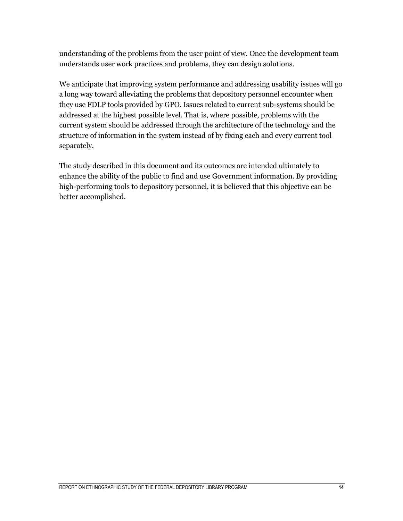understanding of the problems from the user point of view. Once the development team understands user work practices and problems, they can design solutions.

We anticipate that improving system performance and addressing usability issues will go a long way toward alleviating the problems that depository personnel encounter when they use FDLP tools provided by GPO. Issues related to current sub-systems should be addressed at the highest possible level. That is, where possible, problems with the current system should be addressed through the architecture of the technology and the structure of information in the system instead of by fixing each and every current tool separately.

The study described in this document and its outcomes are intended ultimately to enhance the ability of the public to find and use Government information. By providing high-performing tools to depository personnel, it is believed that this objective can be better accomplished.